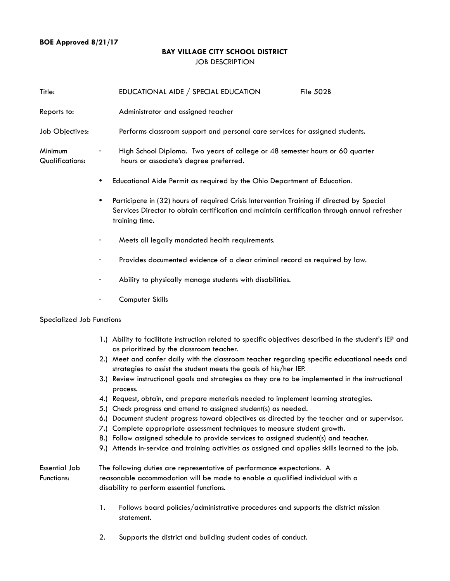## **BOE Approved 8/21/17**

### **BAY VILLAGE CITY SCHOOL DISTRICT** JOB DESCRIPTION

| Title:                            |           | EDUCATIONAL AIDE / SPECIAL EDUCATION                                         | File 502B                                                                    |  |
|-----------------------------------|-----------|------------------------------------------------------------------------------|------------------------------------------------------------------------------|--|
| Reports to:                       |           | Administrator and assigned teacher                                           |                                                                              |  |
| Job Objectives:                   |           | Performs classroom support and personal care services for assigned students. |                                                                              |  |
| <b>Minimum</b><br>Qualifications: | ٠         | hours or associate's degree preferred.                                       | High School Diploma. Two years of college or 48 semester hours or 60 quarter |  |
|                                   | $\bullet$ | Educational Aide Permit as required by the Ohio Department of Education.     |                                                                              |  |

- **•** Participate in (32) hours of required Crisis Intervention Training if directed by Special Services Director to obtain certification and maintain certification through annual refresher training time.
- Meets all legally mandated health requirements.
- Provides documented evidence of a clear criminal record as required by law.
- Ability to physically manage students with disabilities.
- Computer Skills

#### Specialized Job Functions

- 1.) Ability to facilitate instruction related to specific objectives described in the student's IEP and as prioritized by the classroom teacher.
- 2.) Meet and confer daily with the classroom teacher regarding specific educational needs and strategies to assist the student meets the goals of his/her IEP.
- 3.) Review instructional goals and strategies as they are to be implemented in the instructional process.
- 4.) Request, obtain, and prepare materials needed to implement learning strategies.
- 5.) Check progress and attend to assigned student(s) as needed.
- 6.) Document student progress toward objectives as directed by the teacher and or supervisor.
- 7.) Complete appropriate assessment techniques to measure student growth.
- 8.) Follow assigned schedule to provide services to assigned student(s) and teacher.
- 9.) Attends in-service and training activities as assigned and applies skills learned to the job.

## Essential Job The following duties are representative of performance expectations. A Functions: reasonable accommodation will be made to enable a qualified individual with a disability to perform essential functions.

- 1. Follows board policies/administrative procedures and supports the district mission statement.
- 2. Supports the district and building student codes of conduct.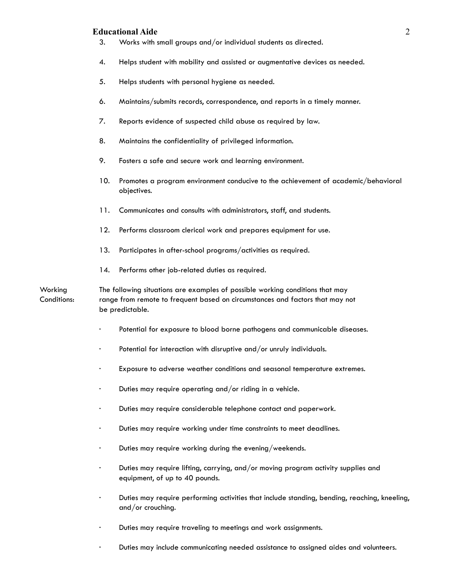#### **Educational Aide** 2

- 3. Works with small groups and/or individual students as directed.
- 4. Helps student with mobility and assisted or augmentative devices as needed.
- 5. Helps students with personal hygiene as needed.
- 6. Maintains/submits records, correspondence, and reports in a timely manner.
- 7. Reports evidence of suspected child abuse as required by law.
- 8. Maintains the confidentiality of privileged information.
- 9. Fosters a safe and secure work and learning environment.
- 10. Promotes a program environment conducive to the achievement of academic/behavioral objectives.
- 11. Communicates and consults with administrators, staff, and students.
- 12. Performs classroom clerical work and prepares equipment for use.
- 13. Participates in after-school programs/activities as required.
- 14. Performs other job-related duties as required.

Working The following situations are examples of possible working conditions that may Conditions: range from remote to frequent based on circumstances and factors that may not be predictable.

- · Potential for exposure to blood borne pathogens and communicable diseases.
- · Potential for interaction with disruptive and/or unruly individuals.
- · Exposure to adverse weather conditions and seasonal temperature extremes.
- · Duties may require operating and/or riding in a vehicle.
- · Duties may require considerable telephone contact and paperwork.
- · Duties may require working under time constraints to meet deadlines.
- · Duties may require working during the evening/weekends.
- · Duties may require lifting, carrying, and/or moving program activity supplies and equipment, of up to 40 pounds.
- · Duties may require performing activities that include standing, bending, reaching, kneeling, and/or crouching.
- · Duties may require traveling to meetings and work assignments.
- · Duties may include communicating needed assistance to assigned aides and volunteers.